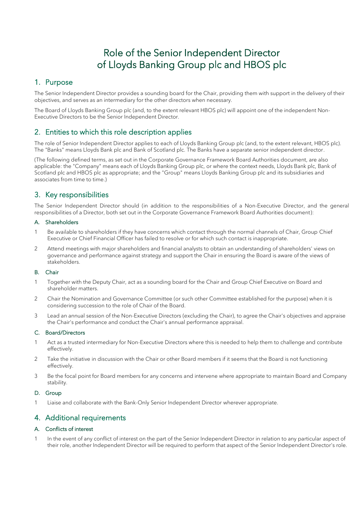## Role of the Senior Independent Director of Lloyds Banking Group plc and HBOS plc

### 1. Purpose

The Senior Independent Director provides a sounding board for the Chair, providing them with support in the delivery of their objectives, and serves as an intermediary for the other directors when necessary.

The Board of Lloyds Banking Group plc (and, to the extent relevant HBOS plc) will appoint one of the independent Non-Executive Directors to be the Senior Independent Director.

### 2. Entities to which this role description applies

The role of Senior Independent Director applies to each of Lloyds Banking Group plc (and, to the extent relevant, HBOS plc). The "Banks" means Lloyds Bank plc and Bank of Scotland plc. The Banks have a separate senior independent director.

(The following defined terms, as set out in the Corporate Governance Framework Board Authorities document, are also applicable: the "Company" means each of Lloyds Banking Group plc, or where the context needs, Lloyds Bank plc, Bank of Scotland plc and HBOS plc as appropriate; and the "Group" means Lloyds Banking Group plc and its subsidiaries and associates from time to time.)

### 3. Key responsibilities

The Senior Independent Director should (in addition to the responsibilities of a Non-Executive Director, and the general responsibilities of a Director, both set out in the Corporate Governance Framework Board Authorities document):

### A. Shareholders

- 1 Be available to shareholders if they have concerns which contact through the normal channels of Chair, Group Chief Executive or Chief Financial Officer has failed to resolve or for which such contact is inappropriate.
- 2 Attend meetings with major shareholders and financial analysts to obtain an understanding of shareholders' views on governance and performance against strategy and support the Chair in ensuring the Board is aware of the views of stakeholders.

### B. Chair

- 1 Together with the Deputy Chair, act as a sounding board for the Chair and Group Chief Executive on Board and shareholder matters.
- 2 Chair the Nomination and Governance Committee (or such other Committee established for the purpose) when it is considering succession to the role of Chair of the Board.
- 3 Lead an annual session of the Non-Executive Directors (excluding the Chair), to agree the Chair's objectives and appraise the Chair's performance and conduct the Chair's annual performance appraisal.

#### C. Board/Directors

- 1 Act as a trusted intermediary for Non-Executive Directors where this is needed to help them to challenge and contribute effectively.
- 2 Take the initiative in discussion with the Chair or other Board members if it seems that the Board is not functioning effectively.
- 3 Be the focal point for Board members for any concerns and intervene where appropriate to maintain Board and Company stability.

#### D. Group

1 Liaise and collaborate with the Bank-Only Senior Independent Director wherever appropriate.

### 4. Additional requirements

### A. Conflicts of interest

1 In the event of any conflict of interest on the part of the Senior Independent Director in relation to any particular aspect of their role, another Independent Director will be required to perform that aspect of the Senior Independent Director's role.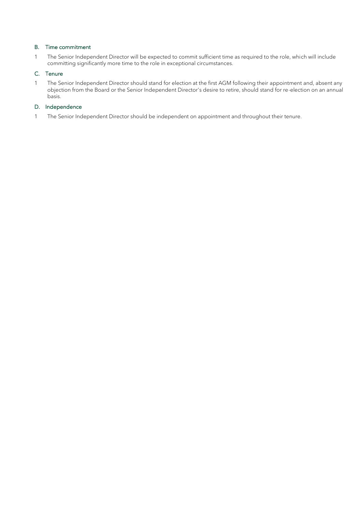### B. Time commitment

1 The Senior Independent Director will be expected to commit sufficient time as required to the role, which will include committing significantly more time to the role in exceptional circumstances.

#### C. Tenure

1 The Senior Independent Director should stand for election at the first AGM following their appointment and, absent any objection from the Board or the Senior Independent Director's desire to retire, should stand for re-election on an annual basis.

### D. Independence

1 The Senior Independent Director should be independent on appointment and throughout their tenure.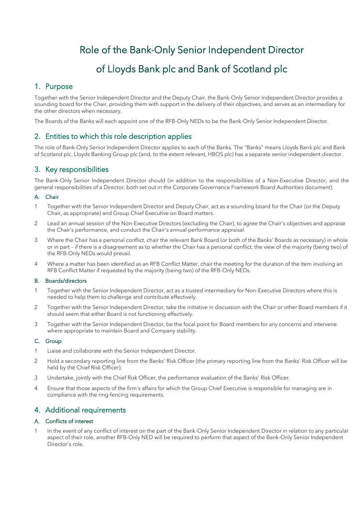# Role of the Bank-Only Senior Independent Director of Lloyds Bank plc and Bank of Scotland plc

### 1. Purpose

Together with the Senior Independent Director and the Deputy Chair, the Bank-Only Senior Independent Director provides a sounding board for the Chair, providing them with support in the delivery of their objectives, and serves as an intermediary for the other directors when necessary.

The Boards of the Banks will each appoint one of the RFB-Only NEDs to be the Bank-Only Senior Independent Director.

### 2. Entities to which this role description applies

The role of Bank-Only Senior Independent Director applies to each of the Banks. The "Banks" means Lloyds Bank plc and Bank of Scotland plc. Lloyds Banking Group plc (and, to the extent relevant, HBOS plc) has a separate senior independent director.

### 3. Key responsibilities

The Bank-Only Senior Independent Director should (in addition to the responsibilities of a Non-Executive Director, and the general responsibilities of a Director, both set out in the Corporate Governance Framework Board Authorities document):

### A. Chair

- 1 Together with the Senior Independent Director and Deputy Chair, act as a sounding board for the Chair (or the Deputy Chair, as appropriate) and Group Chief Executive on Board matters.
- 2 Lead an annual session of the Non-Executive Directors (excluding the Chair), to agree the Chair's objectives and appraise the Chair's performance, and conduct the Chair's annual performance appraisal.
- 3 Where the Chair has a personal conflict, chair the relevant Bank Board (or both of the Banks' Boards as necessary) in whole or in part – if there is a disagreement as to whether the Chair has a personal conflict, the view of the majority (being two) of the RFB-Only NEDs would prevail.
- 4 Where a matter has been identified as an RFB Conflict Matter, chair the meeting for the duration of the item involving an RFB Conflict Matter if requested by the majority (being two) of the RFB-Only NEDs.

### B. Boards/directors

- 1 Together with the Senior Independent Director, act as a trusted intermediary for Non-Executive Directors where this is needed to help them to challenge and contribute effectively.
- 2 Together with the Senior Independent Director, take the initiative in discussion with the Chair or other Board members if it should seem that either Board is not functioning effectively.
- 3 Together with the Senior Independent Director, be the focal point for Board members for any concerns and intervene where appropriate to maintain Board and Company stability.

### C. Group

- 1 Liaise and collaborate with the Senior Independent Director.
- 2 Hold a secondary reporting line from the Banks' Risk Officer (the primary reporting line from the Banks' Risk Officer will be held by the Chief Risk Officer).
- 3 Undertake, jointly with the Chief Risk Officer, the performance evaluation of the Banks' Risk Officer.
- 4 Ensure that those aspects of the firm's affairs for which the Group Chief Executive is responsible for managing are in compliance with the ring-fencing requirements.

### 4. Additional requirements

#### A. Conflicts of interest

1 In the event of any conflict of interest on the part of the Bank-Only Senior Independent Director in relation to any particular aspect of their role, another RFB-Only NED will be required to perform that aspect of the Bank-Only Senior Independent Director's role.